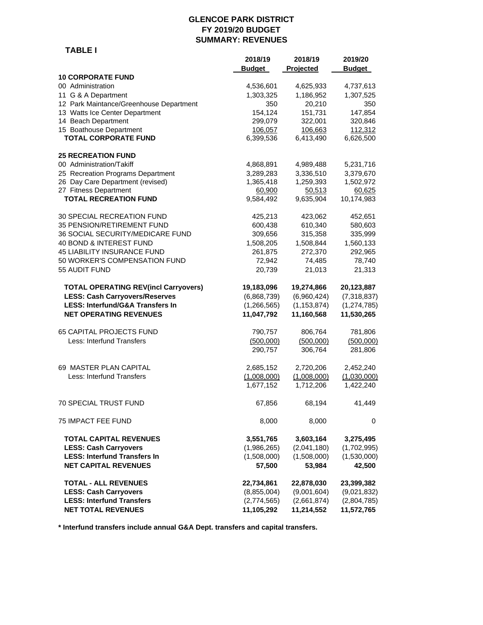## **GLENCOE PARK DISTRICT FY 2019/20 BUDGET SUMMARY: REVENUES**

 **TABLE I**

|                                             | 2018/19<br><b>Budget</b> | 2018/19<br>Projected | 2019/20<br><b>Budget</b> |
|---------------------------------------------|--------------------------|----------------------|--------------------------|
| <b>10 CORPORATE FUND</b>                    |                          |                      |                          |
| 00 Administration                           | 4,536,601                | 4,625,933            | 4,737,613                |
| 11 G & A Department                         | 1,303,325                | 1,186,952            | 1,307,525                |
| 12 Park Maintance/Greenhouse Department     | 350                      | 20,210               | 350                      |
| 13 Watts Ice Center Department              | 154,124                  | 151,731              | 147,854                  |
| 14 Beach Department                         | 299,079                  | 322,001              | 320,846                  |
| 15 Boathouse Department                     | 106,057                  | 106,663              | 112,312                  |
| <b>TOTAL CORPORATE FUND</b>                 | 6,399,536                | 6,413,490            | 6,626,500                |
| <b>25 RECREATION FUND</b>                   |                          |                      |                          |
| 00 Administration/Takiff                    | 4,868,891                | 4,989,488            | 5,231,716                |
| 25 Recreation Programs Department           | 3,289,283                | 3,336,510            | 3,379,670                |
| 26 Day Care Department (revised)            | 1,365,418                | 1,259,393            | 1,502,972                |
| 27 Fitness Department                       | 60,900                   | 50,513               | 60,625                   |
| <b>TOTAL RECREATION FUND</b>                | 9,584,492                | 9,635,904            | 10,174,983               |
| 30 SPECIAL RECREATION FUND                  | 425,213                  | 423,062              | 452,651                  |
| 35 PENSION/RETIREMENT FUND                  | 600,438                  | 610,340              | 580,603                  |
| 36 SOCIAL SECURITY/MEDICARE FUND            | 309,656                  | 315,358              | 335,999                  |
| 40 BOND & INTEREST FUND                     | 1,508,205                | 1,508,844            | 1,560,133                |
| 45 LIABILITY INSURANCE FUND                 | 261,875                  | 272,370              | 292,965                  |
| 50 WORKER'S COMPENSATION FUND               | 72,942                   | 74,485               | 78,740                   |
| 55 AUDIT FUND                               | 20,739                   | 21,013               | 21,313                   |
| <b>TOTAL OPERATING REV(incl Carryovers)</b> | 19,183,096               | 19,274,866           | 20,123,887               |
| <b>LESS: Cash Carryovers/Reserves</b>       | (6,868,739)              | (6,960,424)          | (7,318,837)              |
| <b>LESS: Interfund/G&amp;A Transfers In</b> | (1, 266, 565)            | (1, 153, 874)        | (1, 274, 785)            |
| <b>NET OPERATING REVENUES</b>               | 11,047,792               | 11,160,568           | 11,530,265               |
| <b>65 CAPITAL PROJECTS FUND</b>             | 790,757                  | 806,764              | 781,806                  |
| Less: Interfund Transfers                   | (500,000)                | (500,000)            | (500,000)                |
|                                             | 290,757                  | 306,764              | 281,806                  |
| 69 MASTER PLAN CAPITAL                      | 2,685,152                | 2,720,206            | 2,452,240                |
| Less: Interfund Transfers                   | (1,008,000)              | (1,008,000)          | (1,030,000)              |
|                                             | 1,677,152                | 1,712,206            | 1,422,240                |
| <b>70 SPECIAL TRUST FUND</b>                | 67,856                   | 68,194               | 41,449                   |
| <b>75 IMPACT FEE FUND</b>                   | 8,000                    | 8,000                | 0                        |
| TOTAL CAPITAL REVENUES                      | 3,551,765                | 3,603,164            | 3,275,495                |
| <b>LESS: Cash Carryovers</b>                | (1,986,265)              | (2,041,180)          | (1,702,995)              |
| <b>LESS: Interfund Transfers In</b>         | (1,508,000)              | (1,508,000)          | (1,530,000)              |
| <b>NET CAPITAL REVENUES</b>                 | 57,500                   | 53,984               | 42,500                   |
| <b>TOTAL - ALL REVENUES</b>                 | 22,734,861               | 22,878,030           | 23,399,382               |
| <b>LESS: Cash Carryovers</b>                | (8,855,004)              | (9,001,604)          | (9,021,832)              |
| <b>LESS: Interfund Transfers</b>            | (2,774,565)              | (2,661,874)          | (2,804,785)              |
| <b>NET TOTAL REVENUES</b>                   | 11,105,292               | 11,214,552           | 11,572,765               |

**\* Interfund transfers include annual G&A Dept. transfers and capital transfers.**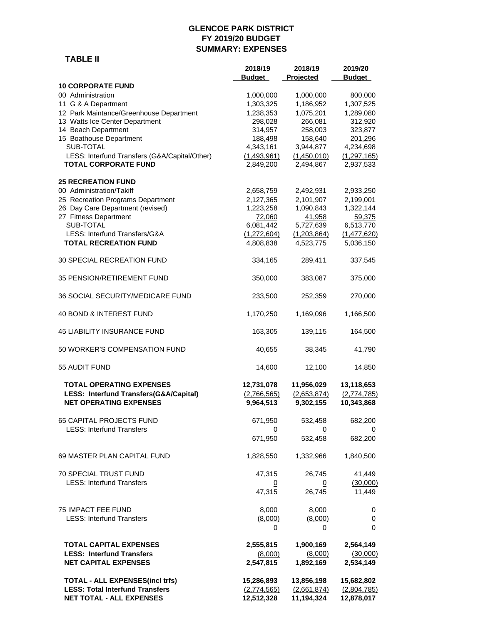#### **GLENCOE PARK DISTRICT FY 2019/20 BUDGET SUMMARY: EXPENSES**

|                                                                                                            | 2018/19                                | 2018/19                                | 2019/20                                 |
|------------------------------------------------------------------------------------------------------------|----------------------------------------|----------------------------------------|-----------------------------------------|
|                                                                                                            | <b>Budget</b>                          | Projected                              | <b>Budget</b>                           |
| <b>10 CORPORATE FUND</b>                                                                                   |                                        |                                        |                                         |
| 00 Administration                                                                                          | 1,000,000                              | 1,000,000                              | 800,000                                 |
| 11 G & A Department<br>12 Park Maintance/Greenhouse Department                                             | 1,303,325<br>1,238,353                 | 1,186,952<br>1,075,201                 | 1,307,525<br>1,289,080                  |
| 13 Watts Ice Center Department                                                                             | 298,028                                | 266,081                                | 312,920                                 |
| 14 Beach Department                                                                                        | 314,957                                | 258,003                                | 323,877                                 |
| 15 Boathouse Department                                                                                    | 188,498                                | 158,640                                | 201,296                                 |
| SUB-TOTAL                                                                                                  | 4,343,161                              | 3,944,877                              | 4,234,698                               |
| LESS: Interfund Transfers (G&A/Capital/Other)                                                              | (1,493,961)                            | (1,450,010)                            | (1, 297, 165)                           |
| <b>TOTAL CORPORATE FUND</b>                                                                                | 2,849,200                              | 2,494,867                              | 2,937,533                               |
| <b>25 RECREATION FUND</b>                                                                                  |                                        |                                        |                                         |
| 00 Administration/Takiff                                                                                   | 2,658,759                              | 2,492,931                              | 2,933,250                               |
| 25 Recreation Programs Department                                                                          | 2,127,365                              | 2,101,907                              | 2,199,001                               |
| 26 Day Care Department (revised)                                                                           | 1,223,258                              | 1,090,843                              | 1,322,144                               |
| 27 Fitness Department                                                                                      | 72,060                                 | 41,958                                 | 59,375                                  |
| SUB-TOTAL                                                                                                  | 6,081,442                              | 5,727,639                              | 6,513,770                               |
| LESS: Interfund Transfers/G&A                                                                              | (1, 272, 604)                          | (1,203,864)                            | (1,477,620)                             |
| <b>TOTAL RECREATION FUND</b>                                                                               | 4,808,838                              | 4,523,775                              | 5,036,150                               |
| 30 SPECIAL RECREATION FUND                                                                                 | 334,165                                | 289,411                                | 337,545                                 |
| 35 PENSION/RETIREMENT FUND                                                                                 | 350,000                                | 383,087                                | 375,000                                 |
| 36 SOCIAL SECURITY/MEDICARE FUND                                                                           | 233,500                                | 252,359                                | 270,000                                 |
| 40 BOND & INTEREST FUND                                                                                    | 1,170,250                              | 1,169,096                              | 1,166,500                               |
| <b>45 LIABILITY INSURANCE FUND</b>                                                                         | 163,305                                | 139,115                                | 164,500                                 |
| 50 WORKER'S COMPENSATION FUND                                                                              | 40,655                                 | 38,345                                 | 41,790                                  |
| 55 AUDIT FUND                                                                                              | 14,600                                 | 12,100                                 | 14,850                                  |
| <b>TOTAL OPERATING EXPENSES</b><br>LESS: Interfund Transfers(G&A/Capital)<br><b>NET OPERATING EXPENSES</b> | 12,731,078<br>(2,766,565)<br>9,964,513 | 11,956,029<br>(2,653,874)<br>9,302,155 | 13,118,653<br>(2,774,785)<br>10,343,868 |
| 65 CAPITAL PROJECTS FUND                                                                                   | 671,950                                | 532,458                                | 682,200                                 |
| <b>LESS: Interfund Transfers</b>                                                                           | 0                                      | $\overline{0}$                         | $\Omega$                                |
|                                                                                                            | 671,950                                | 532,458                                | 682,200                                 |
| 69 MASTER PLAN CAPITAL FUND                                                                                | 1,828,550                              | 1,332,966                              | 1,840,500                               |
| <b>70 SPECIAL TRUST FUND</b>                                                                               | 47,315                                 | 26,745                                 | 41,449                                  |
| <b>LESS: Interfund Transfers</b>                                                                           | 0                                      | $\overline{0}$                         | (30,000)                                |
|                                                                                                            | 47.315                                 | 26,745                                 | 11,449                                  |
| <b>75 IMPACT FEE FUND</b>                                                                                  | 8,000                                  | 8,000                                  | 0                                       |
| <b>LESS: Interfund Transfers</b>                                                                           | (8,000)                                | (8,000)                                | $\overline{0}$                          |
|                                                                                                            | 0                                      | 0                                      | $\Omega$                                |
| <b>TOTAL CAPITAL EXPENSES</b>                                                                              | 2,555,815                              | 1,900,169                              | 2,564,149                               |
| <b>LESS: Interfund Transfers</b>                                                                           | (8,000)                                | (8,000)                                | (30,000)                                |
| <b>NET CAPITAL EXPENSES</b>                                                                                | 2,547,815                              | 1,892,169                              | 2,534,149                               |

 **TOTAL - ALL EXPENSES(incl trfs) 15,286,893 13,856,198 15,682,802 LESS: Total Interfund Transfers** (2,774,565) (2,661,874) (2,804,785)  **NET TOTAL - ALL EXPENSES 12,512,328 11,194,324 12,878,017**

 **TABLE II**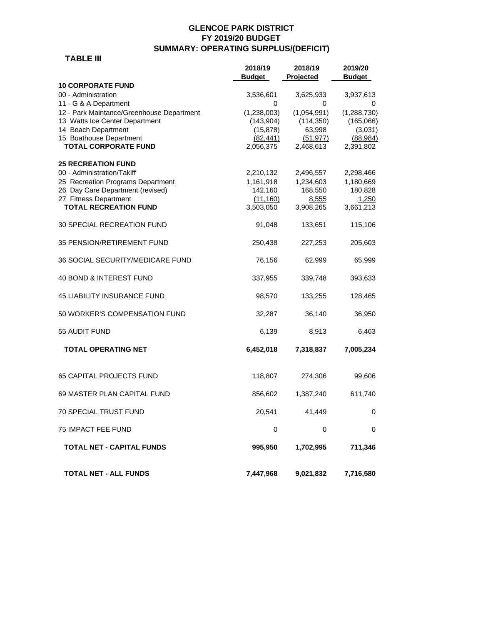## **GLENCOE PARK DISTRICT FY 2019/20 BUDGET SUMMARY: OPERATING SURPLUS/(DEFICIT)**

 **TABLE III** 

|                                           | 2018/19<br>Budget | 2018/19     | 2019/20       |
|-------------------------------------------|-------------------|-------------|---------------|
| <b>10 CORPORATE FUND</b>                  |                   | Projected   | <b>Budget</b> |
| 00 - Administration                       | 3,536,601         | 3,625,933   | 3,937,613     |
| 11 - G & A Department                     | 0                 | 0           | 0             |
| 12 - Park Maintance/Greenhouse Department | (1,238,003)       | (1,054,991) | (1,288,730)   |
| 13 Watts Ice Center Department            | (143,904)         | (114, 350)  | (165,066)     |
| 14 Beach Department                       | (15, 878)         | 63,998      | (3,031)       |
| 15 Boathouse Department                   | (82, 441)         | (51, 977)   | (88, 984)     |
| <b>TOTAL CORPORATE FUND</b>               | 2,056,375         | 2,468,613   | 2,391,802     |
| <b>25 RECREATION FUND</b>                 |                   |             |               |
| 00 - Administration/Takiff                | 2,210,132         | 2,496,557   | 2,298,466     |
| 25 Recreation Programs Department         | 1,161,918         | 1,234,603   | 1,180,669     |
| 26 Day Care Department (revised)          | 142,160           | 168,550     | 180,828       |
| 27 Fitness Department                     | (11, 160)         | 8,555       | <u>1,250</u>  |
| <b>TOTAL RECREATION FUND</b>              | 3,503,050         | 3,908,265   | 3,661,213     |
| 30 SPECIAL RECREATION FUND                | 91,048            | 133,651     | 115,106       |
| <b>35 PENSION/RETIREMENT FUND</b>         | 250,438           | 227,253     | 205,603       |
| 36 SOCIAL SECURITY/MEDICARE FUND          | 76,156            | 62,999      | 65,999        |
| 40 BOND & INTEREST FUND                   | 337,955           | 339,748     | 393,633       |
| 45 LIABILITY INSURANCE FUND               | 98,570            | 133,255     | 128,465       |
| 50 WORKER'S COMPENSATION FUND             | 32,287            | 36,140      | 36,950        |
| 55 AUDIT FUND                             | 6,139             | 8,913       | 6,463         |
| <b>TOTAL OPERATING NET</b>                | 6,452,018         | 7,318,837   | 7,005,234     |
| <b>65 CAPITAL PROJECTS FUND</b>           | 118,807           | 274,306     | 99,606        |
| 69 MASTER PLAN CAPITAL FUND               | 856,602           | 1,387,240   | 611,740       |
| 70 SPECIAL TRUST FUND                     | 20,541            | 41,449      | 0             |
| <b>75 IMPACT FEE FUND</b>                 | 0                 | 0           | 0             |
| <b>TOTAL NET - CAPITAL FUNDS</b>          | 995,950           | 1,702,995   | 711,346       |
| <b>TOTAL NET - ALL FUNDS</b>              | 7,447,968         | 9,021,832   | 7,716,580     |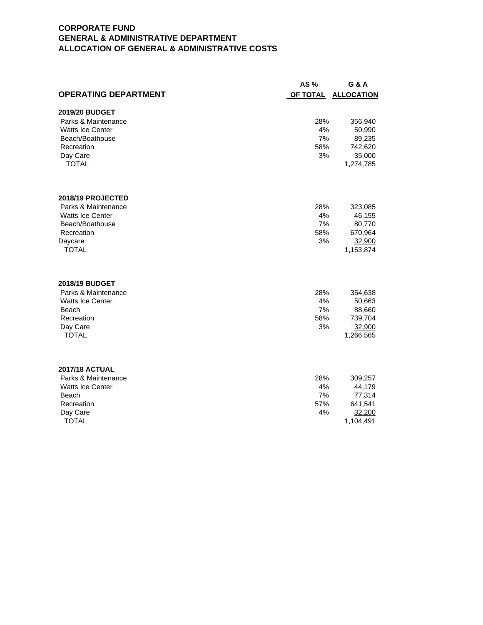# **CORPORATE FUND GENERAL & ADMINISTRATIVE DEPARTMENT ALLOCATION OF GENERAL & ADMINISTRATIVE COSTS**

|                             | AS $%$   | G & A             |
|-----------------------------|----------|-------------------|
| <b>OPERATING DEPARTMENT</b> | OF TOTAL | <b>ALLOCATION</b> |
| 2019/20 BUDGET              |          |                   |
| Parks & Maintenance         | 28%      | 356,940           |
| <b>Watts Ice Center</b>     | 4%       | 50,990            |
| Beach/Boathouse             | 7%       | 89,235            |
| Recreation                  | 58%      | 742,620           |
| Day Care                    | 3%       | 35,000            |
| <b>TOTAL</b>                |          | 1,274,785         |
| 2018/19 PROJECTED           |          |                   |
| Parks & Maintenance         | 28%      | 323,085           |
| <b>Watts Ice Center</b>     | 4%       | 46,155            |
| Beach/Boathouse             | 7%       | 80,770            |
| Recreation                  | 58%      | 670,964           |
| Daycare                     | 3%       | 32,900            |
| <b>TOTAL</b>                |          | 1,153,874         |
| 2018/19 BUDGET              |          |                   |
| Parks & Maintenance         | 28%      | 354,638           |
| <b>Watts Ice Center</b>     | 4%       | 50,663            |
| Beach                       | 7%       | 88,660            |
| Recreation                  | 58%      | 739,704           |
| Day Care                    | 3%       | 32,900            |
| <b>TOTAL</b>                |          | 1,266,565         |
| <b>2017/18 ACTUAL</b>       |          |                   |
| Parks & Maintenance         | 28%      | 309,257           |
| <b>Watts Ice Center</b>     | 4%       | 44,179            |
| Beach                       | 7%       | 77,314            |
| Recreation                  | 57%      | 641,541           |
| Day Care                    | 4%       | 32,200            |
| <b>TOTAL</b>                |          | 1,104,491         |
|                             |          |                   |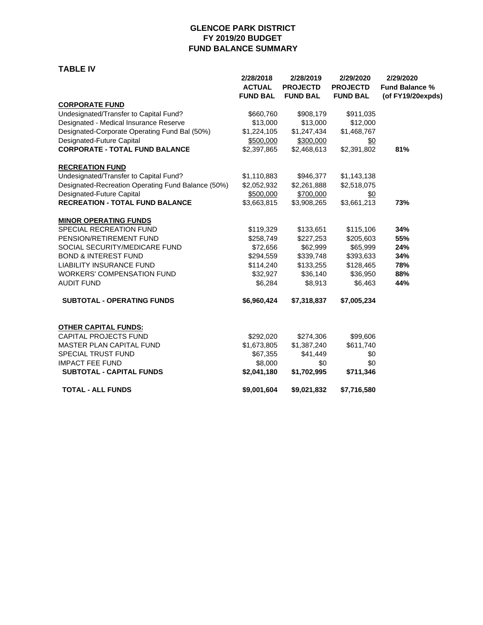## **GLENCOE PARK DISTRICT FY 2019/20 BUDGET FUND BALANCE SUMMARY**

#### **TABLE IV**

|                                                    | 2/28/2018<br><b>ACTUAL</b><br><b>FUND BAL</b> | 2/28/2019<br><b>PROJECTD</b><br><b>FUND BAL</b> | 2/29/2020<br><b>PROJECTD</b><br><b>FUND BAL</b> | 2/29/2020<br><b>Fund Balance %</b><br>(of FY19/20expds) |
|----------------------------------------------------|-----------------------------------------------|-------------------------------------------------|-------------------------------------------------|---------------------------------------------------------|
| <b>CORPORATE FUND</b>                              |                                               |                                                 |                                                 |                                                         |
| Undesignated/Transfer to Capital Fund?             | \$660,760                                     | \$908,179                                       | \$911,035                                       |                                                         |
| Designated - Medical Insurance Reserve             | \$13,000                                      | \$13,000                                        | \$12,000                                        |                                                         |
| Designated-Corporate Operating Fund Bal (50%)      | \$1,224,105                                   | \$1,247,434                                     | \$1,468,767                                     |                                                         |
| Designated-Future Capital                          | \$500,000                                     | \$300,000                                       | $\frac{$0}{}$                                   |                                                         |
| <b>CORPORATE - TOTAL FUND BALANCE</b>              | \$2,397,865                                   | \$2,468,613                                     | \$2,391,802                                     | 81%                                                     |
| <b>RECREATION FUND</b>                             |                                               |                                                 |                                                 |                                                         |
| Undesignated/Transfer to Capital Fund?             | \$1,110,883                                   | \$946,377                                       | \$1,143,138                                     |                                                         |
| Designated-Recreation Operating Fund Balance (50%) | \$2,052,932                                   | \$2,261,888                                     | \$2,518,075                                     |                                                         |
| Designated-Future Capital                          | \$500,000                                     | \$700,000                                       | \$0                                             |                                                         |
| <b>RECREATION - TOTAL FUND BALANCE</b>             | \$3,663,815                                   | \$3,908,265                                     | \$3,661,213                                     | 73%                                                     |
| <b>MINOR OPERATING FUNDS</b>                       |                                               |                                                 |                                                 |                                                         |
| SPECIAL RECREATION FUND                            | \$119,329                                     | \$133,651                                       | \$115,106                                       | 34%                                                     |
| PENSION/RETIREMENT FUND                            | \$258,749                                     | \$227,253                                       | \$205,603                                       | 55%                                                     |
| SOCIAL SECURITY/MEDICARE FUND                      | \$72,656                                      | \$62,999                                        | \$65,999                                        | 24%                                                     |
| <b>BOND &amp; INTEREST FUND</b>                    | \$294,559                                     | \$339,748                                       | \$393,633                                       | 34%                                                     |
| <b>LIABILITY INSURANCE FUND</b>                    | \$114,240                                     | \$133,255                                       | \$128,465                                       | 78%                                                     |
| <b>WORKERS' COMPENSATION FUND</b>                  | \$32,927                                      | \$36,140                                        | \$36,950                                        | 88%                                                     |
| <b>AUDIT FUND</b>                                  | \$6,284                                       | \$8,913                                         | \$6,463                                         | 44%                                                     |
| <b>SUBTOTAL - OPERATING FUNDS</b>                  | \$6,960,424                                   | \$7,318,837                                     | \$7,005,234                                     |                                                         |
| <b>OTHER CAPITAL FUNDS:</b>                        |                                               |                                                 |                                                 |                                                         |
| CAPITAL PROJECTS FUND                              | \$292,020                                     | \$274,306                                       | \$99,606                                        |                                                         |
| MASTER PLAN CAPITAL FUND                           | \$1,673,805                                   | \$1,387,240                                     | \$611,740                                       |                                                         |
| SPECIAL TRUST FUND                                 | \$67,355                                      | \$41,449                                        | \$0                                             |                                                         |
| <b>IMPACT FEE FUND</b>                             | \$8,000                                       | \$0                                             | \$0                                             |                                                         |
| <b>SUBTOTAL - CAPITAL FUNDS</b>                    | \$2,041,180                                   | \$1,702,995                                     | \$711,346                                       |                                                         |
| <b>TOTAL - ALL FUNDS</b>                           | \$9,001,604                                   | \$9,021,832                                     | \$7,716,580                                     |                                                         |